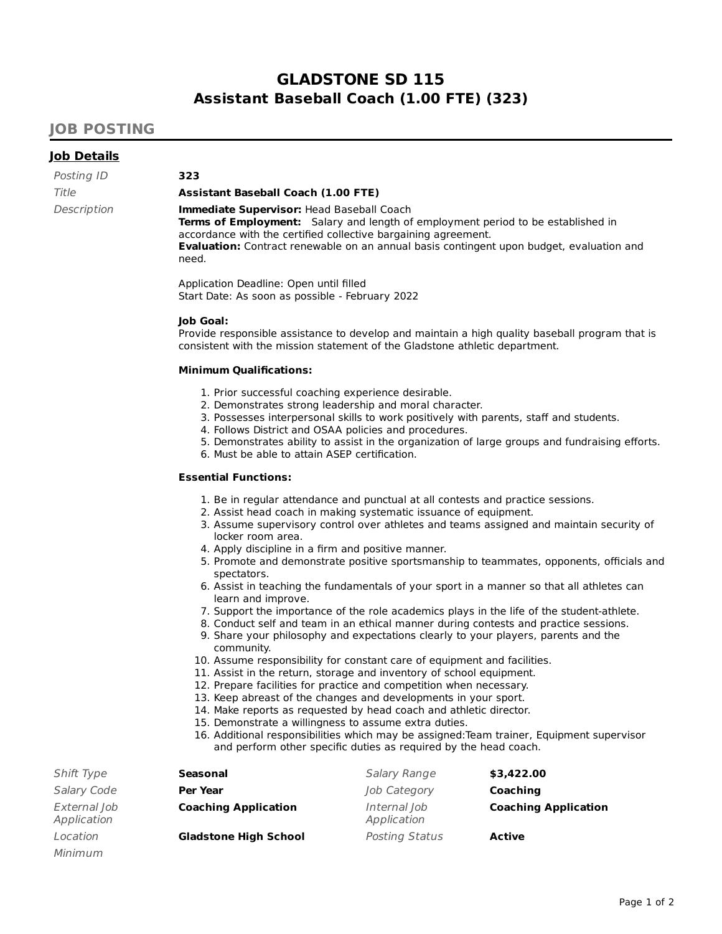# **GLADSTONE SD 115 Assistant Baseball Coach (1.00 FTE) (323)**

### **JOB POSTING**

### **Job Details**

Minimum

| Posting ID  |  |
|-------------|--|
| Title       |  |
| Description |  |

#### **Assistant Baseball Coach (1.00 FTE)**

**Immediate Supervisor: Head Baseball Coach Terms of Employment:** Salary and length of employment period to be established in accordance with the certified collective bargaining agreement. **Evaluation:** Contract renewable on an annual basis contingent upon budget, evaluation and need.

Application Deadline: Open until filled Start Date: As soon as possible - February 2022

#### **Job Goal:**

Posting ID **323**

Provide responsible assistance to develop and maintain a high quality baseball program that is consistent with the mission statement of the Gladstone athletic department.

#### **Minimum Qualifications:**

- 1. Prior successful coaching experience desirable.
- 2. Demonstrates strong leadership and moral character.
- 3. Possesses interpersonal skills to work positively with parents, staff and students.
- 4. Follows District and OSAA policies and procedures.
- 5. Demonstrates ability to assist in the organization of large groups and fundraising efforts.
- 6. Must be able to attain ASEP certification.

#### **Essential Functions:**

- 1. Be in regular attendance and punctual at all contests and practice sessions.
- 2. Assist head coach in making systematic issuance of equipment.
- 3. Assume supervisory control over athletes and teams assigned and maintain security of locker room area.
- 4. Apply discipline in a firm and positive manner.
- 5. Promote and demonstrate positive sportsmanship to teammates, opponents, officials and spectators.
- 6. Assist in teaching the fundamentals of your sport in a manner so that all athletes can learn and improve.
- 7. Support the importance of the role academics plays in the life of the student-athlete.
- 8. Conduct self and team in an ethical manner during contests and practice sessions.
- 9. Share your philosophy and expectations clearly to your players, parents and the community.
- 10. Assume responsibility for constant care of equipment and facilities.
- 11. Assist in the return, storage and inventory of school equipment.
- 12. Prepare facilities for practice and competition when necessary.
- 13. Keep abreast of the changes and developments in your sport.
- 14. Make reports as requested by head coach and athletic director.
- 15. Demonstrate a willingness to assume extra duties.
- 16. Additional responsibilities which may be assigned:Team trainer, Equipment supervisor and perform other specific duties as required by the head coach.

| Shift Type                  | Seasonal                     | Salary Range                | \$3,422.00                  |
|-----------------------------|------------------------------|-----------------------------|-----------------------------|
| Salary Code                 | <b>Per Year</b>              | Job Category                | Coaching                    |
| External Job<br>Application | <b>Coaching Application</b>  | Internal Job<br>Application | <b>Coaching Application</b> |
| Location                    | <b>Gladstone High School</b> | Posting Status              | <b>Active</b>               |